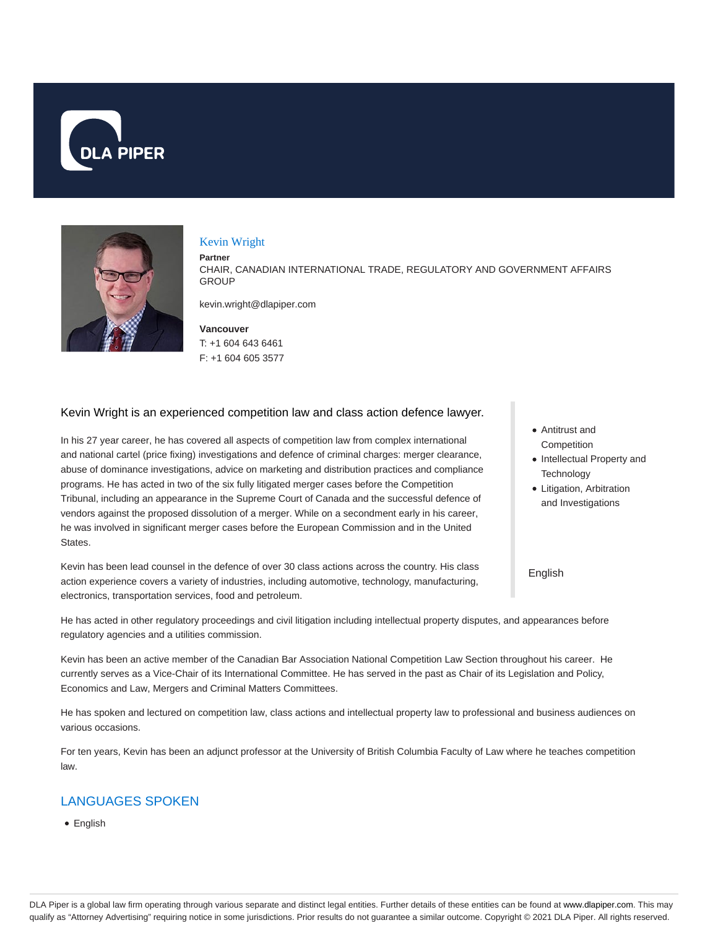



#### Kevin Wright

#### **Partner**

CHAIR, CANADIAN INTERNATIONAL TRADE, REGULATORY AND GOVERNMENT AFFAIRS **GROUP** 

kevin.wright@dlapiper.com

**Vancouver** T: +1 604 643 6461 F: +1 604 605 3577

#### Kevin Wright is an experienced competition law and class action defence lawyer.

In his 27 year career, he has covered all aspects of competition law from complex international and national cartel (price fixing) investigations and defence of criminal charges: merger clearance, abuse of dominance investigations, advice on marketing and distribution practices and compliance programs. He has acted in two of the six fully litigated merger cases before the Competition Tribunal, including an appearance in the Supreme Court of Canada and the successful defence of vendors against the proposed dissolution of a merger. While on a secondment early in his career, he was involved in significant merger cases before the European Commission and in the United States.

Kevin has been lead counsel in the defence of over 30 class actions across the country. His class action experience covers a variety of industries, including automotive, technology, manufacturing, electronics, transportation services, food and petroleum.

He has acted in other regulatory proceedings and civil litigation including intellectual property disputes, and appearances before regulatory agencies and a utilities commission.

Kevin has been an active member of the Canadian Bar Association National Competition Law Section throughout his career. He currently serves as a Vice-Chair of its International Committee. He has served in the past as Chair of its Legislation and Policy, Economics and Law, Mergers and Criminal Matters Committees.

He has spoken and lectured on competition law, class actions and intellectual property law to professional and business audiences on various occasions.

For ten years, Kevin has been an adjunct professor at the University of British Columbia Faculty of Law where he teaches competition law.

## LANGUAGES SPOKEN

• English

- Antitrust and **Competition**
- Intellectual Property and **Technology**
- Litigation, Arbitration and Investigations

English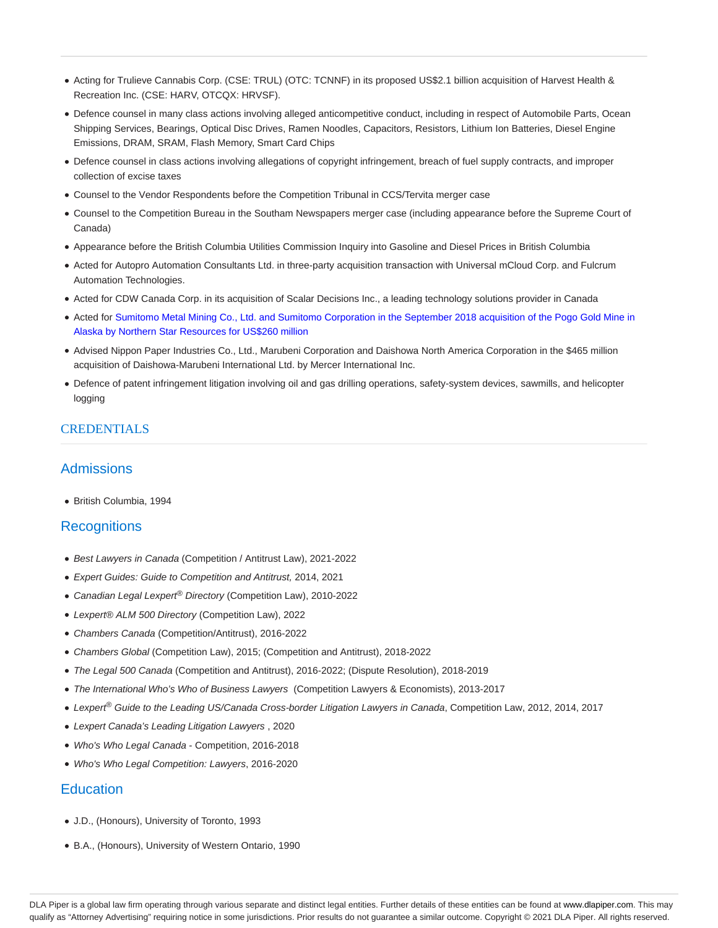- Acting for Trulieve Cannabis Corp. (CSE: TRUL) (OTC: TCNNF) in its proposed US\$2.1 billion acquisition of Harvest Health & Recreation Inc. (CSE: HARV, OTCQX: HRVSF).
- Defence counsel in many class actions involving alleged anticompetitive conduct, including in respect of Automobile Parts, Ocean Shipping Services, Bearings, Optical Disc Drives, Ramen Noodles, Capacitors, Resistors, Lithium Ion Batteries, Diesel Engine Emissions, DRAM, SRAM, Flash Memory, Smart Card Chips
- Defence counsel in class actions involving allegations of copyright infringement, breach of fuel supply contracts, and improper collection of excise taxes
- Counsel to the Vendor Respondents before the Competition Tribunal in CCS/Tervita merger case
- Counsel to the Competition Bureau in the Southam Newspapers merger case (including appearance before the Supreme Court of Canada)
- Appearance before the British Columbia Utilities Commission Inquiry into Gasoline and Diesel Prices in British Columbia
- Acted for Autopro Automation Consultants Ltd. in three-party acquisition transaction with Universal mCloud Corp. and Fulcrum Automation Technologies.
- Acted for CDW Canada Corp. in its acquisition of Scalar Decisions Inc., a leading technology solutions provider in Canada
- Acted for Sumitomo Metal Mining Co., Ltd. and Sumitomo Corporation in the September 2018 acquisition of the Pogo Gold Mine in Alaska by Northern Star Resources for US\$260 million
- Advised Nippon Paper Industries Co., Ltd., Marubeni Corporation and Daishowa North America Corporation in the \$465 million acquisition of Daishowa-Marubeni International Ltd. by Mercer International Inc.
- Defence of patent infringement litigation involving oil and gas drilling operations, safety-system devices, sawmills, and helicopter logging

## CREDENTIALS

## **Admissions**

British Columbia, 1994

## **Recognitions**

- Best Lawyers in Canada (Competition / Antitrust Law), 2021-2022
- Expert Guides: Guide to Competition and Antitrust, 2014, 2021
- Canadian Legal Lexpert<sup>®</sup> Directory (Competition Law), 2010-2022
- Lexpert® ALM 500 Directory (Competition Law), 2022
- Chambers Canada (Competition/Antitrust), 2016-2022
- Chambers Global (Competition Law), 2015; (Competition and Antitrust), 2018-2022
- The Legal 500 Canada (Competition and Antitrust), 2016-2022; (Dispute Resolution), 2018-2019
- The International Who's Who of Business Lawyers (Competition Lawyers & Economists), 2013-2017
- Lexpert<sup>®</sup> Guide to the Leading US/Canada Cross-border Litigation Lawyers in Canada, Competition Law, 2012, 2014, 2017
- Lexpert Canada's Leading Litigation Lawyers , 2020
- Who's Who Legal Canada Competition, 2016-2018
- Who's Who Legal Competition: Lawyers, 2016-2020

## **Education**

- J.D., (Honours), University of Toronto, 1993
- B.A., (Honours), University of Western Ontario, 1990